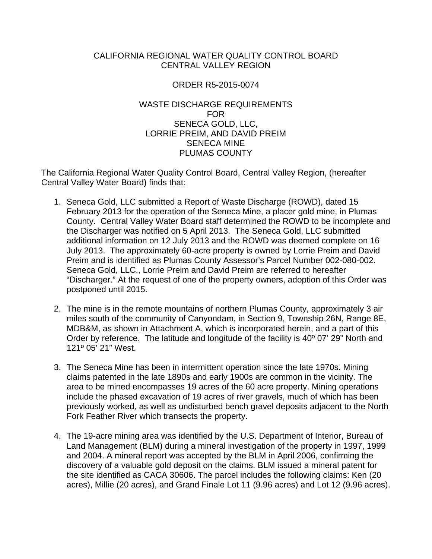### CALIFORNIA REGIONAL WATER QUALITY CONTROL BOARD CENTRAL VALLEY REGION

### ORDER R5-2015-0074

### WASTE DISCHARGE REQUIREMENTS FOR SENECA GOLD, LLC, LORRIE PREIM, AND DAVID PREIM SENECA MINE PLUMAS COUNTY

The California Regional Water Quality Control Board, Central Valley Region, (hereafter Central Valley Water Board) finds that:

- 1. Seneca Gold, LLC submitted a Report of Waste Discharge (ROWD), dated 15 February 2013 for the operation of the Seneca Mine, a placer gold mine, in Plumas County. Central Valley Water Board staff determined the ROWD to be incomplete and the Discharger was notified on 5 April 2013. The Seneca Gold, LLC submitted additional information on 12 July 2013 and the ROWD was deemed complete on 16 July 2013. The approximately 60-acre property is owned by Lorrie Preim and David Preim and is identified as Plumas County Assessor's Parcel Number 002-080-002. Seneca Gold, LLC., Lorrie Preim and David Preim are referred to hereafter "Discharger." At the request of one of the property owners, adoption of this Order was postponed until 2015.
- 2. The mine is in the remote mountains of northern Plumas County, approximately 3 air miles south of the community of Canyondam, in Section 9, Township 26N, Range 8E, MDB&M, as shown in Attachment A, which is incorporated herein, and a part of this Order by reference. The latitude and longitude of the facility is 40º 07' 29" North and 121º 05' 21" West.
- 3. The Seneca Mine has been in intermittent operation since the late 1970s. Mining claims patented in the late 1890s and early 1900s are common in the vicinity. The area to be mined encompasses 19 acres of the 60 acre property. Mining operations include the phased excavation of 19 acres of river gravels, much of which has been previously worked, as well as undisturbed bench gravel deposits adjacent to the North Fork Feather River which transects the property.
- 4. The 19-acre mining area was identified by the U.S. Department of Interior, Bureau of Land Management (BLM) during a mineral investigation of the property in 1997, 1999 and 2004. A mineral report was accepted by the BLM in April 2006, confirming the discovery of a valuable gold deposit on the claims. BLM issued a mineral patent for the site identified as CACA 30606. The parcel includes the following claims: Ken (20 acres), Millie (20 acres), and Grand Finale Lot 11 (9.96 acres) and Lot 12 (9.96 acres).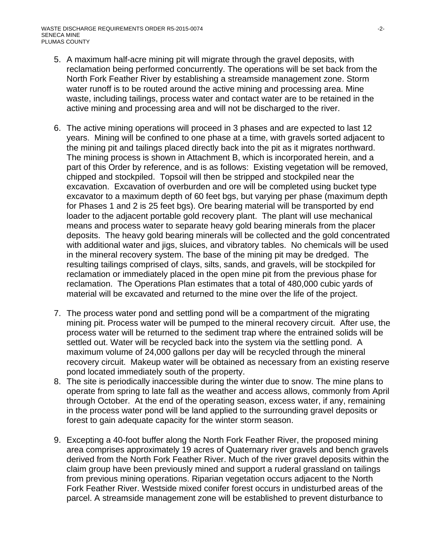- 5. A maximum half-acre mining pit will migrate through the gravel deposits, with reclamation being performed concurrently. The operations will be set back from the North Fork Feather River by establishing a streamside management zone. Storm water runoff is to be routed around the active mining and processing area. Mine waste, including tailings, process water and contact water are to be retained in the active mining and processing area and will not be discharged to the river.
- 6. The active mining operations will proceed in 3 phases and are expected to last 12 years. Mining will be confined to one phase at a time, with gravels sorted adjacent to the mining pit and tailings placed directly back into the pit as it migrates northward. The mining process is shown in Attachment B, which is incorporated herein, and a part of this Order by reference, and is as follows: Existing vegetation will be removed, chipped and stockpiled. Topsoil will then be stripped and stockpiled near the excavation. Excavation of overburden and ore will be completed using bucket type excavator to a maximum depth of 60 feet bgs, but varying per phase (maximum depth for Phases 1 and 2 is 25 feet bgs). Ore bearing material will be transported by end loader to the adjacent portable gold recovery plant. The plant will use mechanical means and process water to separate heavy gold bearing minerals from the placer deposits. The heavy gold bearing minerals will be collected and the gold concentrated with additional water and jigs, sluices, and vibratory tables. No chemicals will be used in the mineral recovery system. The base of the mining pit may be dredged. The resulting tailings comprised of clays, silts, sands, and gravels, will be stockpiled for reclamation or immediately placed in the open mine pit from the previous phase for reclamation. The Operations Plan estimates that a total of 480,000 cubic yards of material will be excavated and returned to the mine over the life of the project.
- 7. The process water pond and settling pond will be a compartment of the migrating mining pit. Process water will be pumped to the mineral recovery circuit. After use, the process water will be returned to the sediment trap where the entrained solids will be settled out. Water will be recycled back into the system via the settling pond. A maximum volume of 24,000 gallons per day will be recycled through the mineral recovery circuit. Makeup water will be obtained as necessary from an existing reserve pond located immediately south of the property.
- 8. The site is periodically inaccessible during the winter due to snow. The mine plans to operate from spring to late fall as the weather and access allows, commonly from April through October. At the end of the operating season, excess water, if any, remaining in the process water pond will be land applied to the surrounding gravel deposits or forest to gain adequate capacity for the winter storm season.
- 9. Excepting a 40-foot buffer along the North Fork Feather River, the proposed mining area comprises approximately 19 acres of Quaternary river gravels and bench gravels derived from the North Fork Feather River. Much of the river gravel deposits within the claim group have been previously mined and support a ruderal grassland on tailings from previous mining operations. Riparian vegetation occurs adjacent to the North Fork Feather River. Westside mixed conifer forest occurs in undisturbed areas of the parcel. A streamside management zone will be established to prevent disturbance to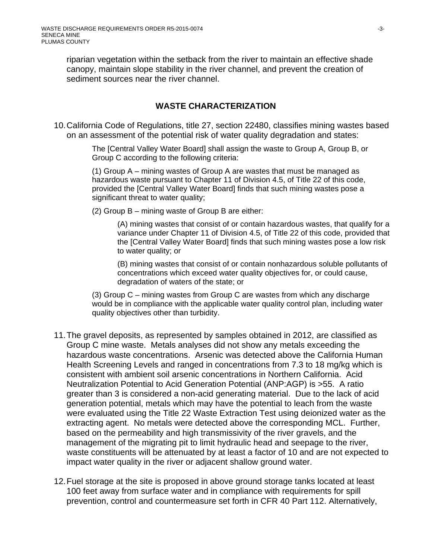riparian vegetation within the setback from the river to maintain an effective shade canopy, maintain slope stability in the river channel, and prevent the creation of sediment sources near the river channel.

### **WASTE CHARACTERIZATION**

10. California Code of Regulations, title 27, section 22480, classifies mining wastes based on an assessment of the potential risk of water quality degradation and states:

> The [Central Valley Water Board] shall assign the waste to Group A, Group B, or Group C according to the following criteria:

> (1) Group A – mining wastes of Group A are wastes that must be managed as hazardous waste pursuant to Chapter 11 of Division 4.5, of Title 22 of this code, provided the [Central Valley Water Board] finds that such mining wastes pose a significant threat to water quality;

(2) Group B – mining waste of Group B are either:

(A) mining wastes that consist of or contain hazardous wastes, that qualify for a variance under Chapter 11 of Division 4.5, of Title 22 of this code, provided that the [Central Valley Water Board] finds that such mining wastes pose a low risk to water quality; or

(B) mining wastes that consist of or contain nonhazardous soluble pollutants of concentrations which exceed water quality objectives for, or could cause, degradation of waters of the state; or

(3) Group C – mining wastes from Group C are wastes from which any discharge would be in compliance with the applicable water quality control plan, including water quality objectives other than turbidity.

- 11. The gravel deposits, as represented by samples obtained in 2012, are classified as Group C mine waste. Metals analyses did not show any metals exceeding the hazardous waste concentrations. Arsenic was detected above the California Human Health Screening Levels and ranged in concentrations from 7.3 to 18 mg/kg which is consistent with ambient soil arsenic concentrations in Northern California. Acid Neutralization Potential to Acid Generation Potential (ANP:AGP) is >55. A ratio greater than 3 is considered a non-acid generating material. Due to the lack of acid generation potential, metals which may have the potential to leach from the waste were evaluated using the Title 22 Waste Extraction Test using deionized water as the extracting agent. No metals were detected above the corresponding MCL. Further, based on the permeability and high transmissivity of the river gravels, and the management of the migrating pit to limit hydraulic head and seepage to the river, waste constituents will be attenuated by at least a factor of 10 and are not expected to impact water quality in the river or adjacent shallow ground water.
- 12. Fuel storage at the site is proposed in above ground storage tanks located at least 100 feet away from surface water and in compliance with requirements for spill prevention, control and countermeasure set forth in CFR 40 Part 112. Alternatively,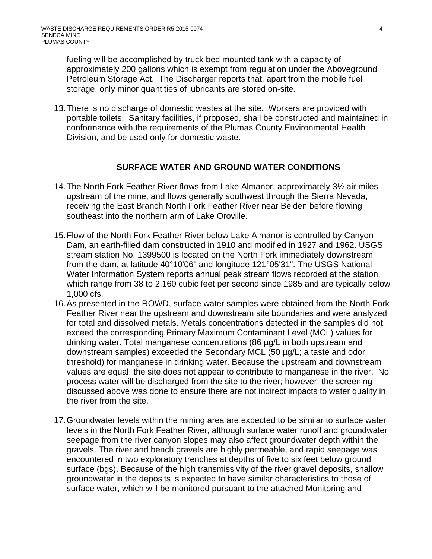fueling will be accomplished by truck bed mounted tank with a capacity of approximately 200 gallons which is exempt from regulation under the Aboveground Petroleum Storage Act. The Discharger reports that, apart from the mobile fuel storage, only minor quantities of lubricants are stored on-site.

13. There is no discharge of domestic wastes at the site. Workers are provided with portable toilets. Sanitary facilities, if proposed, shall be constructed and maintained in conformance with the requirements of the Plumas County Environmental Health Division, and be used only for domestic waste.

### **SURFACE WATER AND GROUND WATER CONDITIONS**

- 14. The North Fork Feather River flows from Lake Almanor, approximately 3½ air miles upstream of the mine, and flows generally southwest through the Sierra Nevada, receiving the East Branch North Fork Feather River near Belden before flowing southeast into the northern arm of Lake Oroville.
- 15. Flow of the North Fork Feather River below Lake Almanor is controlled by Canyon Dam, an earth-filled dam constructed in 1910 and modified in 1927 and 1962. USGS stream station No. 1399500 is located on the North Fork immediately downstream from the dam, at latitude 40°10'06" and longitude 121°05'31". The USGS National Water Information System reports annual peak stream flows recorded at the station, which range from 38 to 2,160 cubic feet per second since 1985 and are typically below 1,000 cfs.
- 16. As presented in the ROWD, surface water samples were obtained from the North Fork Feather River near the upstream and downstream site boundaries and were analyzed for total and dissolved metals. Metals concentrations detected in the samples did not exceed the corresponding Primary Maximum Contaminant Level (MCL) values for drinking water. Total manganese concentrations (86 µg/L in both upstream and downstream samples) exceeded the Secondary MCL (50 µg/L; a taste and odor threshold) for manganese in drinking water. Because the upstream and downstream values are equal, the site does not appear to contribute to manganese in the river. No process water will be discharged from the site to the river; however, the screening discussed above was done to ensure there are not indirect impacts to water quality in the river from the site.
- 17. Groundwater levels within the mining area are expected to be similar to surface water levels in the North Fork Feather River, although surface water runoff and groundwater seepage from the river canyon slopes may also affect groundwater depth within the gravels. The river and bench gravels are highly permeable, and rapid seepage was encountered in two exploratory trenches at depths of five to six feet below ground surface (bgs). Because of the high transmissivity of the river gravel deposits, shallow groundwater in the deposits is expected to have similar characteristics to those of surface water, which will be monitored pursuant to the attached Monitoring and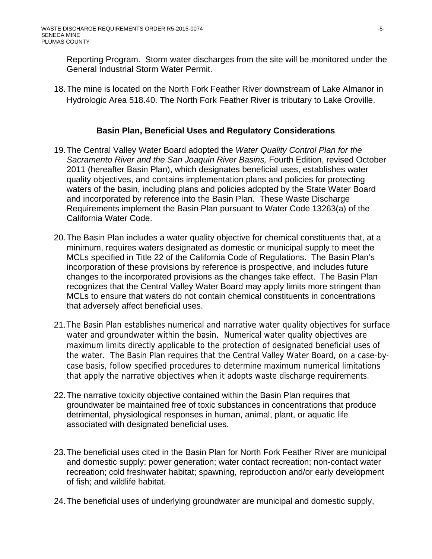Reporting Program. Storm water discharges from the site will be monitored under the General Industrial Storm Water Permit.

18. The mine is located on the North Fork Feather River downstream of Lake Almanor in Hydrologic Area 518.40. The North Fork Feather River is tributary to Lake Oroville.

# **Basin Plan, Beneficial Uses and Regulatory Considerations**

- 19. The Central Valley Water Board adopted the *Water Quality Control Plan for the Sacramento River and the San Joaquin River Basins,* Fourth Edition, revised October 2011 (hereafter Basin Plan), which designates beneficial uses, establishes water quality objectives, and contains implementation plans and policies for protecting waters of the basin, including plans and policies adopted by the State Water Board and incorporated by reference into the Basin Plan. These Waste Discharge Requirements implement the Basin Plan pursuant to Water Code 13263(a) of the California Water Code.
- 20. The Basin Plan includes a water quality objective for chemical constituents that, at a minimum, requires waters designated as domestic or municipal supply to meet the MCLs specified in Title 22 of the California Code of Regulations. The Basin Plan's incorporation of these provisions by reference is prospective, and includes future changes to the incorporated provisions as the changes take effect. The Basin Plan recognizes that the Central Valley Water Board may apply limits more stringent than MCLs to ensure that waters do not contain chemical constituents in concentrations that adversely affect beneficial uses.
- 21. The Basin Plan establishes numerical and narrative water quality objectives for surface water and groundwater within the basin. Numerical water quality objectives are maximum limits directly applicable to the protection of designated beneficial uses of the water. The Basin Plan requires that the Central Valley Water Board, on a case-bycase basis, follow specified procedures to determine maximum numerical limitations that apply the narrative objectives when it adopts waste discharge requirements.
- 22. The narrative toxicity objective contained within the Basin Plan requires that groundwater be maintained free of toxic substances in concentrations that produce detrimental, physiological responses in human, animal, plant, or aquatic life associated with designated beneficial uses.
- 23. The beneficial uses cited in the Basin Plan for North Fork Feather River are municipal and domestic supply; power generation; water contact recreation; non-contact water recreation; cold freshwater habitat; spawning, reproduction and/or early development of fish; and wildlife habitat.
- 24. The beneficial uses of underlying groundwater are municipal and domestic supply,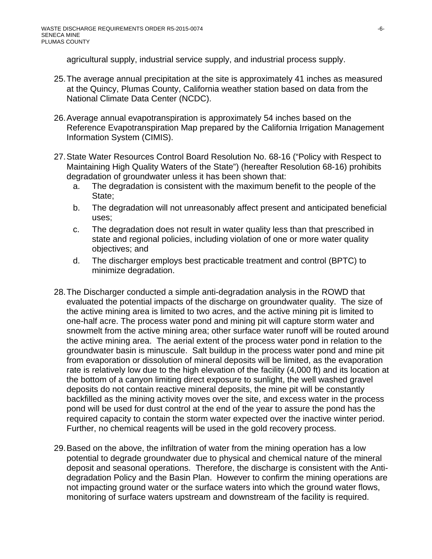agricultural supply, industrial service supply, and industrial process supply.

- 25. The average annual precipitation at the site is approximately 41 inches as measured at the Quincy, Plumas County, California weather station based on data from the National Climate Data Center (NCDC).
- 26. Average annual evapotranspiration is approximately 54 inches based on the Reference Evapotranspiration Map prepared by the California Irrigation Management Information System (CIMIS).
- 27. State Water Resources Control Board Resolution No. 68-16 ("Policy with Respect to Maintaining High Quality Waters of the State") (hereafter Resolution 68-16) prohibits degradation of groundwater unless it has been shown that:
	- a. The degradation is consistent with the maximum benefit to the people of the State;
	- b. The degradation will not unreasonably affect present and anticipated beneficial uses;
	- c. The degradation does not result in water quality less than that prescribed in state and regional policies, including violation of one or more water quality objectives; and
	- d. The discharger employs best practicable treatment and control (BPTC) to minimize degradation.
- 28. The Discharger conducted a simple anti-degradation analysis in the ROWD that evaluated the potential impacts of the discharge on groundwater quality. The size of the active mining area is limited to two acres, and the active mining pit is limited to one-half acre. The process water pond and mining pit will capture storm water and snowmelt from the active mining area; other surface water runoff will be routed around the active mining area. The aerial extent of the process water pond in relation to the groundwater basin is minuscule. Salt buildup in the process water pond and mine pit from evaporation or dissolution of mineral deposits will be limited, as the evaporation rate is relatively low due to the high elevation of the facility (4,000 ft) and its location at the bottom of a canyon limiting direct exposure to sunlight, the well washed gravel deposits do not contain reactive mineral deposits, the mine pit will be constantly backfilled as the mining activity moves over the site, and excess water in the process pond will be used for dust control at the end of the year to assure the pond has the required capacity to contain the storm water expected over the inactive winter period. Further, no chemical reagents will be used in the gold recovery process.
- 29. Based on the above, the infiltration of water from the mining operation has a low potential to degrade groundwater due to physical and chemical nature of the mineral deposit and seasonal operations. Therefore, the discharge is consistent with the Antidegradation Policy and the Basin Plan. However to confirm the mining operations are not impacting ground water or the surface waters into which the ground water flows, monitoring of surface waters upstream and downstream of the facility is required.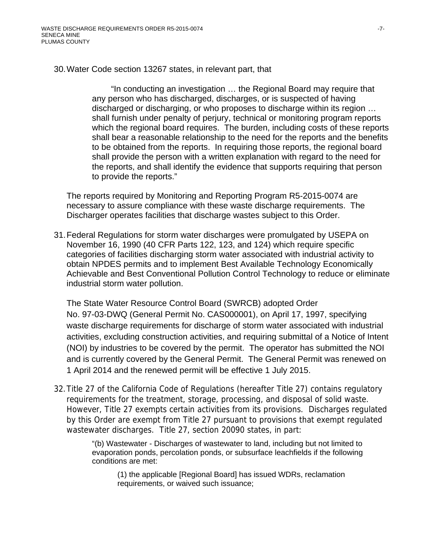30. Water Code section 13267 states, in relevant part, that

"In conducting an investigation … the Regional Board may require that any person who has discharged, discharges, or is suspected of having discharged or discharging, or who proposes to discharge within its region … shall furnish under penalty of perjury, technical or monitoring program reports which the regional board requires. The burden, including costs of these reports shall bear a reasonable relationship to the need for the reports and the benefits to be obtained from the reports. In requiring those reports, the regional board shall provide the person with a written explanation with regard to the need for the reports, and shall identify the evidence that supports requiring that person to provide the reports."

The reports required by Monitoring and Reporting Program R5-2015-0074 are necessary to assure compliance with these waste discharge requirements. The Discharger operates facilities that discharge wastes subject to this Order.

31. Federal Regulations for storm water discharges were promulgated by USEPA on November 16, 1990 (40 CFR Parts 122, 123, and 124) which require specific categories of facilities discharging storm water associated with industrial activity to obtain NPDES permits and to implement Best Available Technology Economically Achievable and Best Conventional Pollution Control Technology to reduce or eliminate industrial storm water pollution.

The State Water Resource Control Board (SWRCB) adopted Order No. 97-03-DWQ (General Permit No. CAS000001), on April 17, 1997, specifying waste discharge requirements for discharge of storm water associated with industrial activities, excluding construction activities, and requiring submittal of a Notice of Intent (NOI) by industries to be covered by the permit. The operator has submitted the NOI and is currently covered by the General Permit. The General Permit was renewed on 1 April 2014 and the renewed permit will be effective 1 July 2015.

32.Title 27 of the California Code of Regulations (hereafter Title 27) contains regulatory requirements for the treatment, storage, processing, and disposal of solid waste. However, Title 27 exempts certain activities from its provisions. Discharges regulated by this Order are exempt from Title 27 pursuant to provisions that exempt regulated wastewater discharges. Title 27, section 20090 states, in part:

> "(b) Wastewater - Discharges of wastewater to land, including but not limited to evaporation ponds, percolation ponds, or subsurface leachfields if the following conditions are met:

(1) the applicable [Regional Board] has issued WDRs, reclamation requirements, or waived such issuance;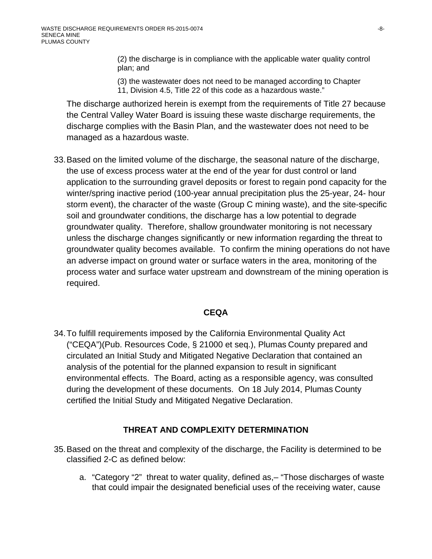(2) the discharge is in compliance with the applicable water quality control plan; and

(3) the wastewater does not need to be managed according to Chapter 11, Division 4.5, Title 22 of this code as a hazardous waste."

The discharge authorized herein is exempt from the requirements of Title 27 because the Central Valley Water Board is issuing these waste discharge requirements, the discharge complies with the Basin Plan, and the wastewater does not need to be managed as a hazardous waste.

33. Based on the limited volume of the discharge, the seasonal nature of the discharge, the use of excess process water at the end of the year for dust control or land application to the surrounding gravel deposits or forest to regain pond capacity for the winter/spring inactive period (100-year annual precipitation plus the 25-year, 24- hour storm event), the character of the waste (Group C mining waste), and the site-specific soil and groundwater conditions, the discharge has a low potential to degrade groundwater quality. Therefore, shallow groundwater monitoring is not necessary unless the discharge changes significantly or new information regarding the threat to groundwater quality becomes available. To confirm the mining operations do not have an adverse impact on ground water or surface waters in the area, monitoring of the process water and surface water upstream and downstream of the mining operation is required.

### **CEQA**

34. To fulfill requirements imposed by the California Environmental Quality Act ("CEQA")(Pub. Resources Code, § 21000 et seq.), Plumas County prepared and circulated an Initial Study and Mitigated Negative Declaration that contained an analysis of the potential for the planned expansion to result in significant environmental effects. The Board, acting as a responsible agency, was consulted during the development of these documents. On 18 July 2014, Plumas County certified the Initial Study and Mitigated Negative Declaration.

## **THREAT AND COMPLEXITY DETERMINATION**

- 35. Based on the threat and complexity of the discharge, the Facility is determined to be classified 2-C as defined below:
	- a. "Category "2" threat to water quality, defined as,– "Those discharges of waste that could impair the designated beneficial uses of the receiving water, cause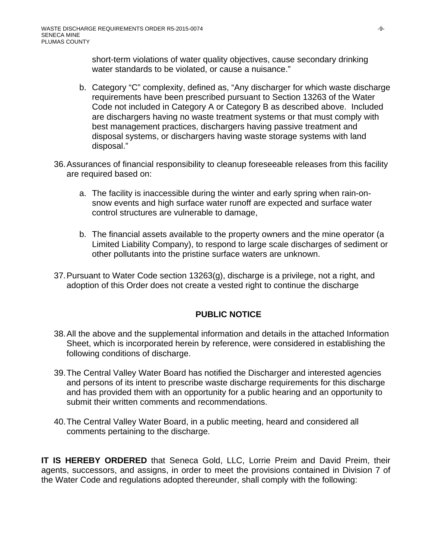short-term violations of water quality objectives, cause secondary drinking water standards to be violated, or cause a nuisance."

- b. Category "C" complexity, defined as, "Any discharger for which waste discharge requirements have been prescribed pursuant to Section 13263 of the Water Code not included in Category A or Category B as described above. Included are dischargers having no waste treatment systems or that must comply with best management practices, dischargers having passive treatment and disposal systems, or dischargers having waste storage systems with land disposal."
- 36. Assurances of financial responsibility to cleanup foreseeable releases from this facility are required based on:
	- a. The facility is inaccessible during the winter and early spring when rain-onsnow events and high surface water runoff are expected and surface water control structures are vulnerable to damage,
	- b. The financial assets available to the property owners and the mine operator (a Limited Liability Company), to respond to large scale discharges of sediment or other pollutants into the pristine surface waters are unknown.
- 37. Pursuant to Water Code section 13263(g), discharge is a privilege, not a right, and adoption of this Order does not create a vested right to continue the discharge

### **PUBLIC NOTICE**

- 38. All the above and the supplemental information and details in the attached Information Sheet, which is incorporated herein by reference, were considered in establishing the following conditions of discharge.
- 39. The Central Valley Water Board has notified the Discharger and interested agencies and persons of its intent to prescribe waste discharge requirements for this discharge and has provided them with an opportunity for a public hearing and an opportunity to submit their written comments and recommendations.
- 40. The Central Valley Water Board, in a public meeting, heard and considered all comments pertaining to the discharge.

**IT IS HEREBY ORDERED** that Seneca Gold, LLC, Lorrie Preim and David Preim, their agents, successors, and assigns, in order to meet the provisions contained in Division 7 of the Water Code and regulations adopted thereunder, shall comply with the following: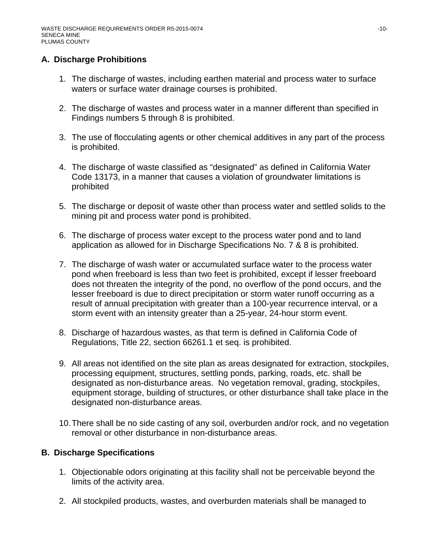### **A. Discharge Prohibitions**

- 1. The discharge of wastes, including earthen material and process water to surface waters or surface water drainage courses is prohibited.
- 2. The discharge of wastes and process water in a manner different than specified in Findings numbers 5 through 8 is prohibited.
- 3. The use of flocculating agents or other chemical additives in any part of the process is prohibited.
- 4. The discharge of waste classified as "designated" as defined in California Water Code 13173, in a manner that causes a violation of groundwater limitations is prohibited
- 5. The discharge or deposit of waste other than process water and settled solids to the mining pit and process water pond is prohibited.
- 6. The discharge of process water except to the process water pond and to land application as allowed for in Discharge Specifications No. 7 & 8 is prohibited.
- 7. The discharge of wash water or accumulated surface water to the process water pond when freeboard is less than two feet is prohibited, except if lesser freeboard does not threaten the integrity of the pond, no overflow of the pond occurs, and the lesser freeboard is due to direct precipitation or storm water runoff occurring as a result of annual precipitation with greater than a 100-year recurrence interval, or a storm event with an intensity greater than a 25-year, 24-hour storm event.
- 8. Discharge of hazardous wastes, as that term is defined in California Code of Regulations, Title 22, section 66261.1 et seq. is prohibited.
- 9. All areas not identified on the site plan as areas designated for extraction, stockpiles, processing equipment, structures, settling ponds, parking, roads, etc. shall be designated as non-disturbance areas. No vegetation removal, grading, stockpiles, equipment storage, building of structures, or other disturbance shall take place in the designated non-disturbance areas.
- 10. There shall be no side casting of any soil, overburden and/or rock, and no vegetation removal or other disturbance in non-disturbance areas.

## **B. Discharge Specifications**

- 1. Objectionable odors originating at this facility shall not be perceivable beyond the limits of the activity area.
- 2. All stockpiled products, wastes, and overburden materials shall be managed to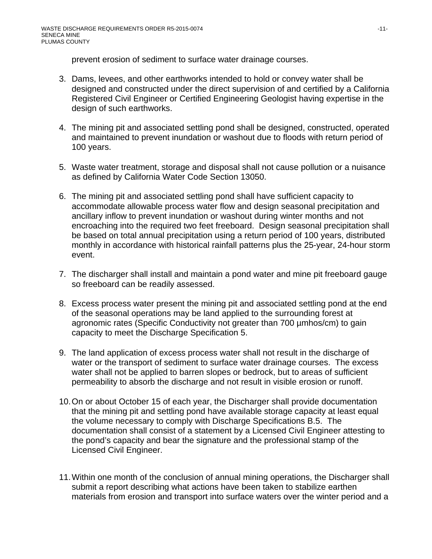prevent erosion of sediment to surface water drainage courses.

- 3. Dams, levees, and other earthworks intended to hold or convey water shall be designed and constructed under the direct supervision of and certified by a California Registered Civil Engineer or Certified Engineering Geologist having expertise in the design of such earthworks.
- 4. The mining pit and associated settling pond shall be designed, constructed, operated and maintained to prevent inundation or washout due to floods with return period of 100 years.
- 5. Waste water treatment, storage and disposal shall not cause pollution or a nuisance as defined by California Water Code Section 13050.
- 6. The mining pit and associated settling pond shall have sufficient capacity to accommodate allowable process water flow and design seasonal precipitation and ancillary inflow to prevent inundation or washout during winter months and not encroaching into the required two feet freeboard. Design seasonal precipitation shall be based on total annual precipitation using a return period of 100 years, distributed monthly in accordance with historical rainfall patterns plus the 25-year, 24-hour storm event.
- 7. The discharger shall install and maintain a pond water and mine pit freeboard gauge so freeboard can be readily assessed.
- 8. Excess process water present the mining pit and associated settling pond at the end of the seasonal operations may be land applied to the surrounding forest at agronomic rates (Specific Conductivity not greater than 700 µmhos/cm) to gain capacity to meet the Discharge Specification 5.
- 9. The land application of excess process water shall not result in the discharge of water or the transport of sediment to surface water drainage courses. The excess water shall not be applied to barren slopes or bedrock, but to areas of sufficient permeability to absorb the discharge and not result in visible erosion or runoff.
- 10. On or about October 15 of each year, the Discharger shall provide documentation that the mining pit and settling pond have available storage capacity at least equal the volume necessary to comply with Discharge Specifications B.5. The documentation shall consist of a statement by a Licensed Civil Engineer attesting to the pond's capacity and bear the signature and the professional stamp of the Licensed Civil Engineer.
- 11. Within one month of the conclusion of annual mining operations, the Discharger shall submit a report describing what actions have been taken to stabilize earthen materials from erosion and transport into surface waters over the winter period and a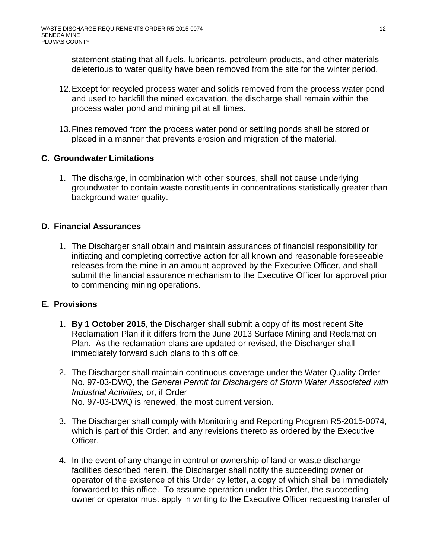statement stating that all fuels, lubricants, petroleum products, and other materials deleterious to water quality have been removed from the site for the winter period.

- 12. Except for recycled process water and solids removed from the process water pond and used to backfill the mined excavation, the discharge shall remain within the process water pond and mining pit at all times.
- 13. Fines removed from the process water pond or settling ponds shall be stored or placed in a manner that prevents erosion and migration of the material.

# **C. Groundwater Limitations**

1. The discharge, in combination with other sources, shall not cause underlying groundwater to contain waste constituents in concentrations statistically greater than background water quality.

# **D. Financial Assurances**

1. The Discharger shall obtain and maintain assurances of financial responsibility for initiating and completing corrective action for all known and reasonable foreseeable releases from the mine in an amount approved by the Executive Officer, and shall submit the financial assurance mechanism to the Executive Officer for approval prior to commencing mining operations.

## **E. Provisions**

- 1. **By 1 October 2015**, the Discharger shall submit a copy of its most recent Site Reclamation Plan if it differs from the June 2013 Surface Mining and Reclamation Plan. As the reclamation plans are updated or revised, the Discharger shall immediately forward such plans to this office.
- 2. The Discharger shall maintain continuous coverage under the Water Quality Order No. 97-03-DWQ, the *General Permit for Dischargers of Storm Water Associated with Industrial Activities,* or, if Order No. 97-03-DWQ is renewed, the most current version.
- 3. The Discharger shall comply with Monitoring and Reporting Program R5-2015-0074, which is part of this Order, and any revisions thereto as ordered by the Executive Officer.
- 4. In the event of any change in control or ownership of land or waste discharge facilities described herein, the Discharger shall notify the succeeding owner or operator of the existence of this Order by letter, a copy of which shall be immediately forwarded to this office. To assume operation under this Order, the succeeding owner or operator must apply in writing to the Executive Officer requesting transfer of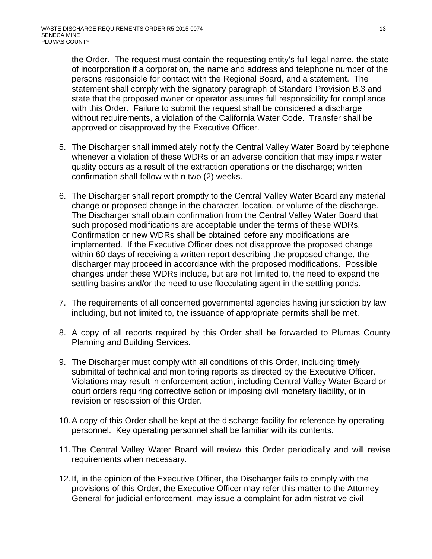the Order. The request must contain the requesting entity's full legal name, the state of incorporation if a corporation, the name and address and telephone number of the persons responsible for contact with the Regional Board, and a statement. The statement shall comply with the signatory paragraph of Standard Provision B.3 and state that the proposed owner or operator assumes full responsibility for compliance with this Order. Failure to submit the request shall be considered a discharge without requirements, a violation of the California Water Code. Transfer shall be approved or disapproved by the Executive Officer.

- 5. The Discharger shall immediately notify the Central Valley Water Board by telephone whenever a violation of these WDRs or an adverse condition that may impair water quality occurs as a result of the extraction operations or the discharge; written confirmation shall follow within two (2) weeks.
- 6. The Discharger shall report promptly to the Central Valley Water Board any material change or proposed change in the character, location, or volume of the discharge. The Discharger shall obtain confirmation from the Central Valley Water Board that such proposed modifications are acceptable under the terms of these WDRs. Confirmation or new WDRs shall be obtained before any modifications are implemented. If the Executive Officer does not disapprove the proposed change within 60 days of receiving a written report describing the proposed change, the discharger may proceed in accordance with the proposed modifications. Possible changes under these WDRs include, but are not limited to, the need to expand the settling basins and/or the need to use flocculating agent in the settling ponds.
- 7. The requirements of all concerned governmental agencies having jurisdiction by law including, but not limited to, the issuance of appropriate permits shall be met.
- 8. A copy of all reports required by this Order shall be forwarded to Plumas County Planning and Building Services.
- 9. The Discharger must comply with all conditions of this Order, including timely submittal of technical and monitoring reports as directed by the Executive Officer. Violations may result in enforcement action, including Central Valley Water Board or court orders requiring corrective action or imposing civil monetary liability, or in revision or rescission of this Order.
- 10. A copy of this Order shall be kept at the discharge facility for reference by operating personnel. Key operating personnel shall be familiar with its contents.
- 11. The Central Valley Water Board will review this Order periodically and will revise requirements when necessary.
- 12. If, in the opinion of the Executive Officer, the Discharger fails to comply with the provisions of this Order, the Executive Officer may refer this matter to the Attorney General for judicial enforcement, may issue a complaint for administrative civil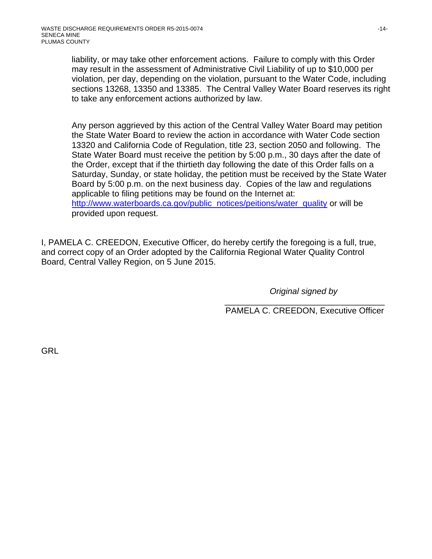liability, or may take other enforcement actions. Failure to comply with this Order may result in the assessment of Administrative Civil Liability of up to \$10,000 per violation, per day, depending on the violation, pursuant to the Water Code, including sections 13268, 13350 and 13385. The Central Valley Water Board reserves its right to take any enforcement actions authorized by law.

Any person aggrieved by this action of the Central Valley Water Board may petition the State Water Board to review the action in accordance with Water Code section 13320 and California Code of Regulation, title 23, section 2050 and following. The State Water Board must receive the petition by 5:00 p.m., 30 days after the date of the Order, except that if the thirtieth day following the date of this Order falls on a Saturday, Sunday, or state holiday, the petition must be received by the State Water Board by 5:00 p.m. on the next business day. Copies of the law and regulations applicable to filing petitions may be found on the Internet at: http://www.waterboards.ca.gov/public\_notices/peitions/water\_quality or will be provided upon request.

I, PAMELA C. CREEDON, Executive Officer, do hereby certify the foregoing is a full, true, and correct copy of an Order adopted by the California Regional Water Quality Control Board, Central Valley Region, on 5 June 2015.

*Original signed by* 

\_\_\_\_\_\_\_\_\_\_\_\_\_\_\_\_\_\_\_\_\_\_\_\_\_\_\_\_\_\_\_\_\_\_ PAMELA C. CREEDON, Executive Officer

GRL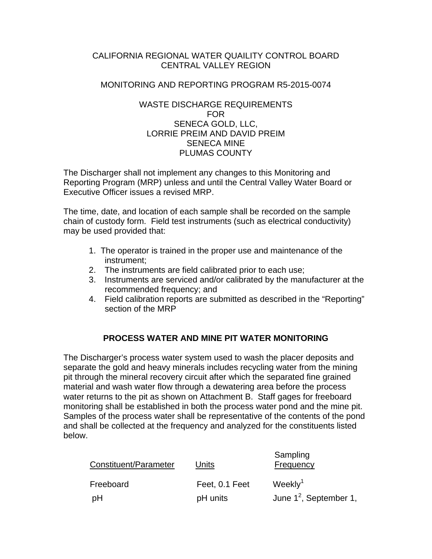### CALIFORNIA REGIONAL WATER QUAILITY CONTROL BOARD CENTRAL VALLEY REGION

#### MONITORING AND REPORTING PROGRAM R5-2015-0074

#### WASTE DISCHARGE REQUIREMENTS FOR SENECA GOLD, LLC, LORRIE PREIM AND DAVID PREIM SENECA MINE PLUMAS COUNTY

The Discharger shall not implement any changes to this Monitoring and Reporting Program (MRP) unless and until the Central Valley Water Board or Executive Officer issues a revised MRP.

The time, date, and location of each sample shall be recorded on the sample chain of custody form. Field test instruments (such as electrical conductivity) may be used provided that:

- 1. The operator is trained in the proper use and maintenance of the instrument;
- 2. The instruments are field calibrated prior to each use;
- 3. Instruments are serviced and/or calibrated by the manufacturer at the recommended frequency; and
- 4. Field calibration reports are submitted as described in the "Reporting" section of the MRP

## **PROCESS WATER AND MINE PIT WATER MONITORING**

The Discharger's process water system used to wash the placer deposits and separate the gold and heavy minerals includes recycling water from the mining pit through the mineral recovery circuit after which the separated fine grained material and wash water flow through a dewatering area before the process water returns to the pit as shown on Attachment B. Staff gages for freeboard monitoring shall be established in both the process water pond and the mine pit. Samples of the process water shall be representative of the contents of the pond and shall be collected at the frequency and analyzed for the constituents listed below.

| Constituent/Parameter | Units          | Sampling<br>Frequency     |
|-----------------------|----------------|---------------------------|
| Freeboard             | Feet, 0.1 Feet | Weekly $1$                |
| pH                    | pH units       | June $1^2$ , September 1, |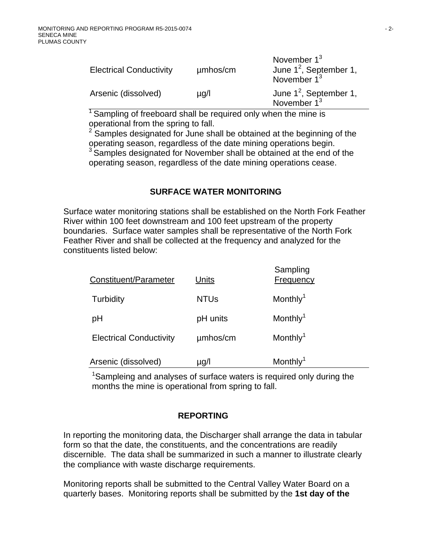| <b>Electrical Conductivity</b> | µmbos/cm  | November $1^3$<br>June $1^2$ , September 1,<br>November $1^3$ |
|--------------------------------|-----------|---------------------------------------------------------------|
| Arsenic (dissolved)            | $\mu$ g/l | June $1^2$ , September 1,<br>November $1^3$                   |
|                                |           |                                                               |

<sup>1</sup> Sampling of freeboard shall be required only when the mine is operational from the spring to fall.

2 Samples designated for June shall be obtained at the beginning of the operating season, regardless of the date mining operations begin.  $3$  Samples designated for November shall be obtained at the end of the operating season, regardless of the date mining operations cease.

## **SURFACE WATER MONITORING**

Surface water monitoring stations shall be established on the North Fork Feather River within 100 feet downstream and 100 feet upstream of the property boundaries. Surface water samples shall be representative of the North Fork Feather River and shall be collected at the frequency and analyzed for the constituents listed below:

| Constituent/Parameter          | Units       | Sampling<br>Frequency |
|--------------------------------|-------------|-----------------------|
| Turbidity                      | <b>NTUs</b> | Monthly <sup>1</sup>  |
| pH                             | pH units    | Monthly <sup>1</sup>  |
| <b>Electrical Conductivity</b> | umhos/cm    | Monthly <sup>1</sup>  |
| Arsenic (dissolved)            | µg/l        | Monthly <sup>1</sup>  |

<sup>1</sup>Sampleing and analyses of surface waters is required only during the months the mine is operational from spring to fall.

## **REPORTING**

In reporting the monitoring data, the Discharger shall arrange the data in tabular form so that the date, the constituents, and the concentrations are readily discernible. The data shall be summarized in such a manner to illustrate clearly the compliance with waste discharge requirements.

Monitoring reports shall be submitted to the Central Valley Water Board on a quarterly bases. Monitoring reports shall be submitted by the **1st day of the**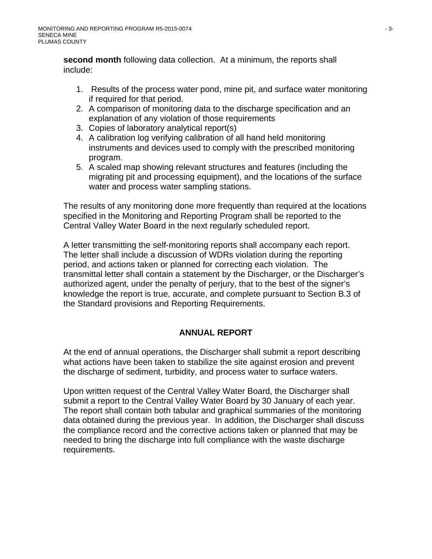**second month** following data collection. At a minimum, the reports shall include:

- 1. Results of the process water pond, mine pit, and surface water monitoring if required for that period.
- 2. A comparison of monitoring data to the discharge specification and an explanation of any violation of those requirements
- 3. Copies of laboratory analytical report(s)
- 4. A calibration log verifying calibration of all hand held monitoring instruments and devices used to comply with the prescribed monitoring program.
- 5. A scaled map showing relevant structures and features (including the migrating pit and processing equipment), and the locations of the surface water and process water sampling stations.

The results of any monitoring done more frequently than required at the locations specified in the Monitoring and Reporting Program shall be reported to the Central Valley Water Board in the next regularly scheduled report.

A letter transmitting the self-monitoring reports shall accompany each report. The letter shall include a discussion of WDRs violation during the reporting period, and actions taken or planned for correcting each violation. The transmittal letter shall contain a statement by the Discharger, or the Discharger's authorized agent, under the penalty of perjury, that to the best of the signer's knowledge the report is true, accurate, and complete pursuant to Section B.3 of the Standard provisions and Reporting Requirements.

## **ANNUAL REPORT**

At the end of annual operations, the Discharger shall submit a report describing what actions have been taken to stabilize the site against erosion and prevent the discharge of sediment, turbidity, and process water to surface waters.

Upon written request of the Central Valley Water Board, the Discharger shall submit a report to the Central Valley Water Board by 30 January of each year. The report shall contain both tabular and graphical summaries of the monitoring data obtained during the previous year. In addition, the Discharger shall discuss the compliance record and the corrective actions taken or planned that may be needed to bring the discharge into full compliance with the waste discharge requirements.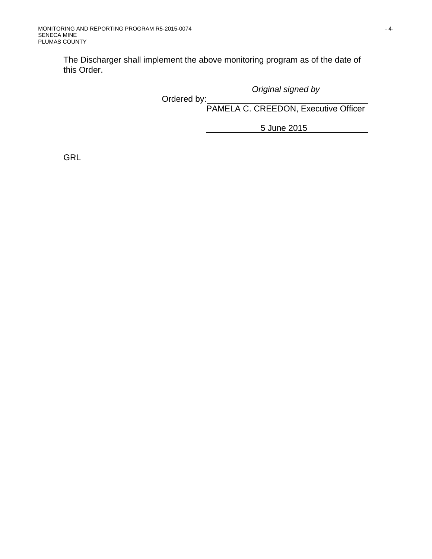The Discharger shall implement the above monitoring program as of the date of this Order.

*Original signed by* 

**Canadian Controllering Controllering Controllering Controllering Controllering Controllering Controllering Controllering Controllering Controllering Controllering Controllering Controllering Controllering Controllering Co** 

PAMELA C. CREEDON, Executive Officer

5 June 2015

GRL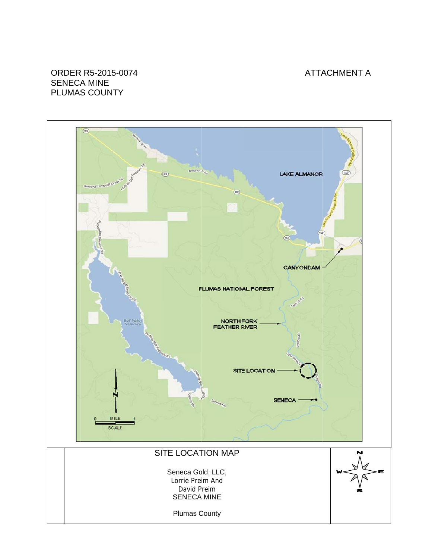### ATTACHMENT A

#### ORDER R R5-2015-0 0074 SENECA A MINE PLUMAS COUNTY

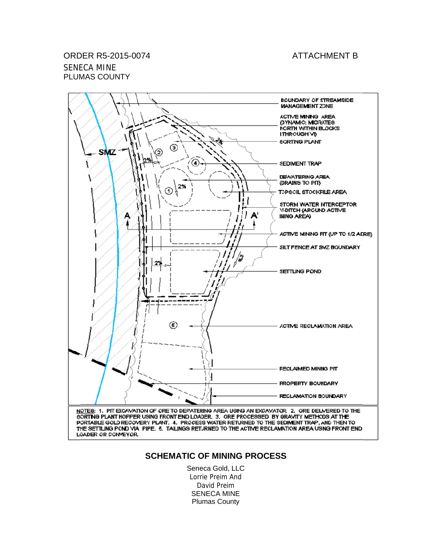#### **ATTACHMENT B**

# ORD ER R5-201 15-0074 SENE ECA MINE

PLUMAS COUNTY



LOADER OR CONVEYOR.

#### **SCHEMATIC OF MINING PROCESS**

Seneca Gold, LLC Lorrie Preim And D avid Preim SENECA MINE Plu mas County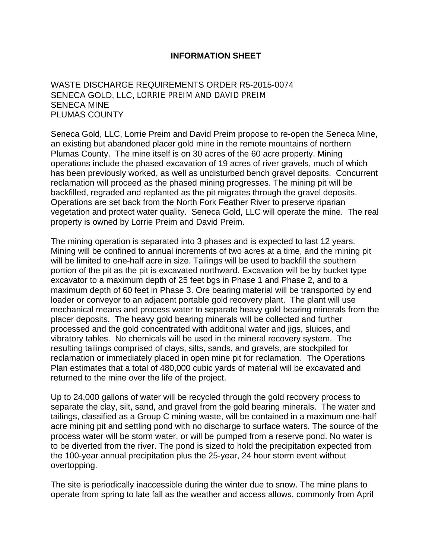### **INFORMATION SHEET**

WASTE DISCHARGE REQUIREMENTS ORDER R5-2015-0074 SENECA GOLD, LLC, LORRIE PREIM AND DAVID PREIM SENECA MINE PLUMAS COUNTY

Seneca Gold, LLC, Lorrie Preim and David Preim propose to re-open the Seneca Mine, an existing but abandoned placer gold mine in the remote mountains of northern Plumas County. The mine itself is on 30 acres of the 60 acre property. Mining operations include the phased excavation of 19 acres of river gravels, much of which has been previously worked, as well as undisturbed bench gravel deposits. Concurrent reclamation will proceed as the phased mining progresses. The mining pit will be backfilled, regraded and replanted as the pit migrates through the gravel deposits. Operations are set back from the North Fork Feather River to preserve riparian vegetation and protect water quality. Seneca Gold, LLC will operate the mine. The real property is owned by Lorrie Preim and David Preim.

The mining operation is separated into 3 phases and is expected to last 12 years. Mining will be confined to annual increments of two acres at a time, and the mining pit will be limited to one-half acre in size. Tailings will be used to backfill the southern portion of the pit as the pit is excavated northward. Excavation will be by bucket type excavator to a maximum depth of 25 feet bgs in Phase 1 and Phase 2, and to a maximum depth of 60 feet in Phase 3. Ore bearing material will be transported by end loader or conveyor to an adjacent portable gold recovery plant. The plant will use mechanical means and process water to separate heavy gold bearing minerals from the placer deposits. The heavy gold bearing minerals will be collected and further processed and the gold concentrated with additional water and jigs, sluices, and vibratory tables. No chemicals will be used in the mineral recovery system. The resulting tailings comprised of clays, silts, sands, and gravels, are stockpiled for reclamation or immediately placed in open mine pit for reclamation. The Operations Plan estimates that a total of 480,000 cubic yards of material will be excavated and returned to the mine over the life of the project.

Up to 24,000 gallons of water will be recycled through the gold recovery process to separate the clay, silt, sand, and gravel from the gold bearing minerals. The water and tailings, classified as a Group C mining waste, will be contained in a maximum one-half acre mining pit and settling pond with no discharge to surface waters. The source of the process water will be storm water, or will be pumped from a reserve pond. No water is to be diverted from the river. The pond is sized to hold the precipitation expected from the 100-year annual precipitation plus the 25-year, 24 hour storm event without overtopping.

The site is periodically inaccessible during the winter due to snow. The mine plans to operate from spring to late fall as the weather and access allows, commonly from April